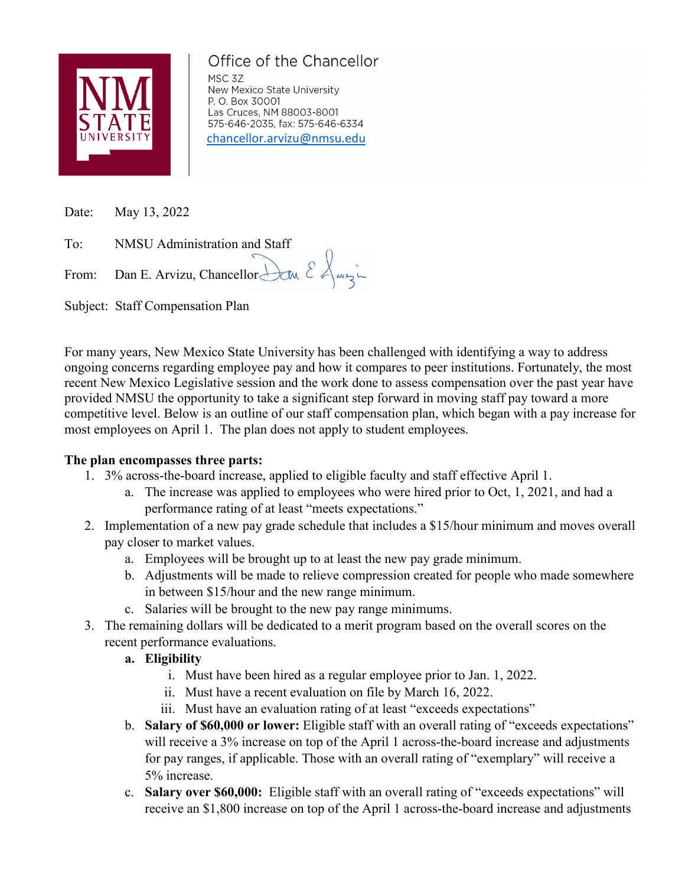

# Office of the Chancellor

MSC 3Z New Mexico State University P. O. Box 30001 Las Cruces, NM 88003-8001 575-646-2035, fax: 575-646-6334 [chancellor.arvizu@nmsu.edu](mailto:chancellor.arvizu@nmsu.edu)

Date: May 13, 2022

To: NMSU Administration and Staff

From: Dan E. Arvizu, Chancellor Law  $\&\&$ 

Subject: Staff Compensation Plan

For many years, New Mexico State University has been challenged with identifying a way to address ongoing concerns regarding employee pay and how it compares to peer institutions. Fortunately, the most recent New Mexico Legislative session and the work done to assess compensation over the past year have provided NMSU the opportunity to take a significant step forward in moving staff pay toward a more competitive level. Below is an outline of our staff compensation plan, which began with a pay increase for most employees on April 1. The plan does not apply to student employees.

#### **The plan encompasses three parts:**

- 1. 3% across-the-board increase, applied to eligible faculty and staff effective April 1.
	- a. The increase was applied to employees who were hired prior to Oct, 1, 2021, and had a performance rating of at least "meets expectations."
- 2. Implementation of a new pay grade schedule that includes a \$15/hour minimum and moves overall pay closer to market values.
	- a. Employees will be brought up to at least the new pay grade minimum.
	- b. Adjustments will be made to relieve compression created for people who made somewhere in between \$15/hour and the new range minimum.
	- c. Salaries will be brought to the new pay range minimums.
- 3. The remaining dollars will be dedicated to a merit program based on the overall scores on the recent performance evaluations.
	- **a. Eligibility**
		- i. Must have been hired as a regular employee prior to Jan. 1, 2022.
		- ii. Must have a recent evaluation on file by March 16, 2022.
		- iii. Must have an evaluation rating of at least "exceeds expectations"
	- b. **Salary of \$60,000 or lower:** Eligible staff with an overall rating of "exceeds expectations" will receive a 3% increase on top of the April 1 across-the-board increase and adjustments for pay ranges, if applicable. Those with an overall rating of "exemplary" will receive a 5% increase.
	- c. **Salary over \$60,000:** Eligible staff with an overall rating of "exceeds expectations" will receive an \$1,800 increase on top of the April 1 across-the-board increase and adjustments